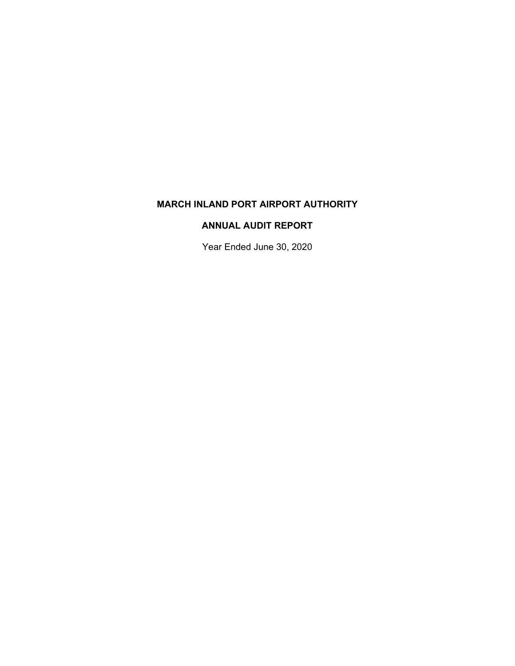# **ANNUAL AUDIT REPORT**

Year Ended June 30, 2020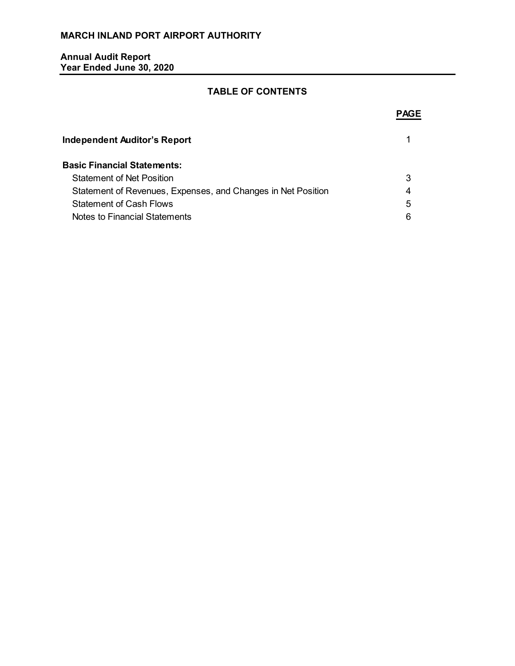## **Annual Audit Report Year Ended June 30, 2020**

# **TABLE OF CONTENTS**

|                                                              | PAGF |
|--------------------------------------------------------------|------|
| <b>Independent Auditor's Report</b>                          |      |
| <b>Basic Financial Statements:</b>                           |      |
| <b>Statement of Net Position</b>                             | 3    |
| Statement of Revenues, Expenses, and Changes in Net Position | 4    |
| <b>Statement of Cash Flows</b>                               | 5    |
| Notes to Financial Statements                                | 6    |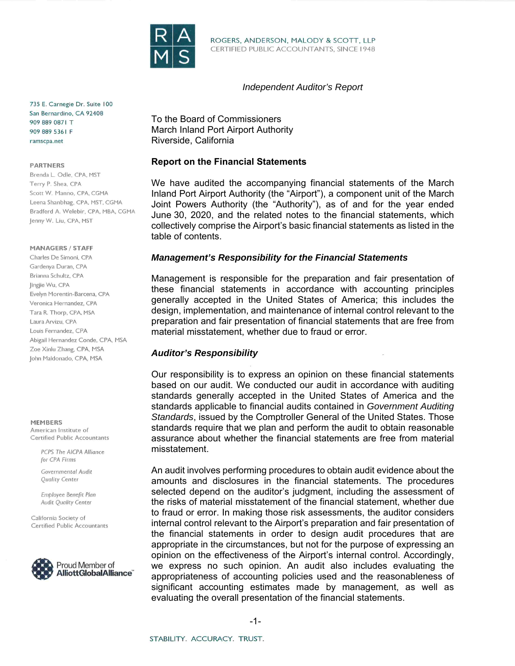

ROGERS, ANDERSON, MALODY & SCOTT, LLP CERTIFIED PUBLIC ACCOUNTANTS, SINCE 1948

#### *Independent Auditor's Report*

735 E. Carnegie Dr. Suite 100 San Bernardino, CA 92408 909 889 0871 T 909 889 5361 F ramscpa.net

#### **PARTNERS**

Brenda L. Odle, CPA, MST Terry P. Shea, CPA Scott W. Manno, CPA, CGMA Leena Shanbhag, CPA, MST, CGMA Bradferd A. Welebir, CPA, MBA, CGMA Jenny W. Liu, CPA, MST

#### **MANAGERS / STAFF**

Charles De Simoni, CPA Gardenya Duran, CPA Brianna Schultz, CPA lingjie Wu, CPA Evelyn Morentin-Barcena, CPA Veronica Hernandez, CPA Tara R. Thorp, CPA, MSA Laura Arvizu, CPA Louis Fernandez, CPA Abigail Hernandez Conde, CPA, MSA Zoe Xinlu Zhang, CPA, MSA John Maldonado, CPA, MSA

#### **MEMBERS**

American Institute of Certified Public Accountants

> PCPS The AICPA Alliance for CPA Firms

Governmental Audit Quality Center

Employee Benefit Plan Audit Quality Center

California Society of Certified Public Accountants



To the Board of Commissioners March Inland Port Airport Authority Riverside, California

#### **Report on the Financial Statements**

We have audited the accompanying financial statements of the March Inland Port Airport Authority (the "Airport"), a component unit of the March Joint Powers Authority (the "Authority"), as of and for the year ended June 30, 2020, and the related notes to the financial statements, which collectively comprise the Airport's basic financial statements as listed in the table of contents.

### *Management's Responsibility for the Financial Statements*

Management is responsible for the preparation and fair presentation of these financial statements in accordance with accounting principles generally accepted in the United States of America; this includes the design, implementation, and maintenance of internal control relevant to the preparation and fair presentation of financial statements that are free from material misstatement, whether due to fraud or error.

## *Auditor's Responsibility*

Our responsibility is to express an opinion on these financial statements based on our audit. We conducted our audit in accordance with auditing standards generally accepted in the United States of America and the standards applicable to financial audits contained in *Government Auditing Standards*, issued by the Comptroller General of the United States. Those standards require that we plan and perform the audit to obtain reasonable assurance about whether the financial statements are free from material misstatement.

An audit involves performing procedures to obtain audit evidence about the amounts and disclosures in the financial statements. The procedures selected depend on the auditor's judgment, including the assessment of the risks of material misstatement of the financial statement, whether due to fraud or error. In making those risk assessments, the auditor considers internal control relevant to the Airport's preparation and fair presentation of the financial statements in order to design audit procedures that are appropriate in the circumstances, but not for the purpose of expressing an opinion on the effectiveness of the Airport's internal control. Accordingly, we express no such opinion. An audit also includes evaluating the appropriateness of accounting policies used and the reasonableness of significant accounting estimates made by management, as well as evaluating the overall presentation of the financial statements.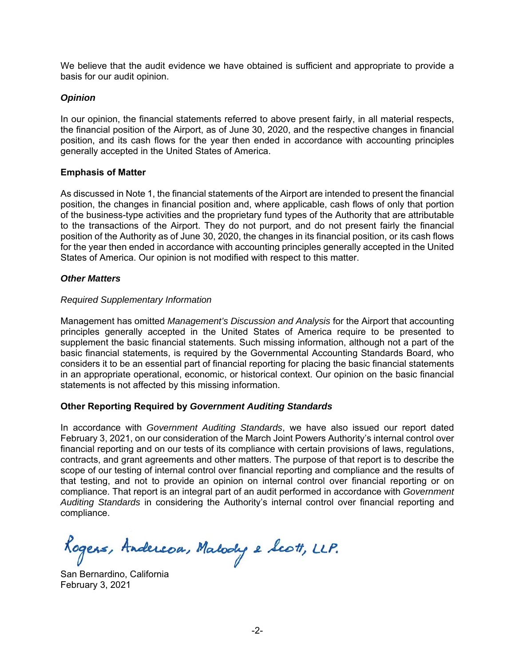We believe that the audit evidence we have obtained is sufficient and appropriate to provide a basis for our audit opinion.

## *Opinion*

In our opinion, the financial statements referred to above present fairly, in all material respects, the financial position of the Airport, as of June 30, 2020, and the respective changes in financial position, and its cash flows for the year then ended in accordance with accounting principles generally accepted in the United States of America.

## **Emphasis of Matter**

As discussed in Note 1, the financial statements of the Airport are intended to present the financial position, the changes in financial position and, where applicable, cash flows of only that portion of the business-type activities and the proprietary fund types of the Authority that are attributable to the transactions of the Airport. They do not purport, and do not present fairly the financial position of the Authority as of June 30, 2020, the changes in its financial position, or its cash flows for the year then ended in accordance with accounting principles generally accepted in the United States of America. Our opinion is not modified with respect to this matter.

## *Other Matters*

### *Required Supplementary Information*

Management has omitted *Management's Discussion and Analysis* for the Airport that accounting principles generally accepted in the United States of America require to be presented to supplement the basic financial statements. Such missing information, although not a part of the basic financial statements, is required by the Governmental Accounting Standards Board, who considers it to be an essential part of financial reporting for placing the basic financial statements in an appropriate operational, economic, or historical context. Our opinion on the basic financial statements is not affected by this missing information.

## **Other Reporting Required by** *Government Auditing Standards*

In accordance with *Government Auditing Standards*, we have also issued our report dated February 3, 2021, on our consideration of the March Joint Powers Authority's internal control over financial reporting and on our tests of its compliance with certain provisions of laws, regulations, contracts, and grant agreements and other matters. The purpose of that report is to describe the scope of our testing of internal control over financial reporting and compliance and the results of that testing, and not to provide an opinion on internal control over financial reporting or on compliance. That report is an integral part of an audit performed in accordance with *Government Auditing Standards* in considering the Authority's internal control over financial reporting and compliance.

Rogers, Andereou, Malody e Scott, LLP.

San Bernardino, California February 3, 2021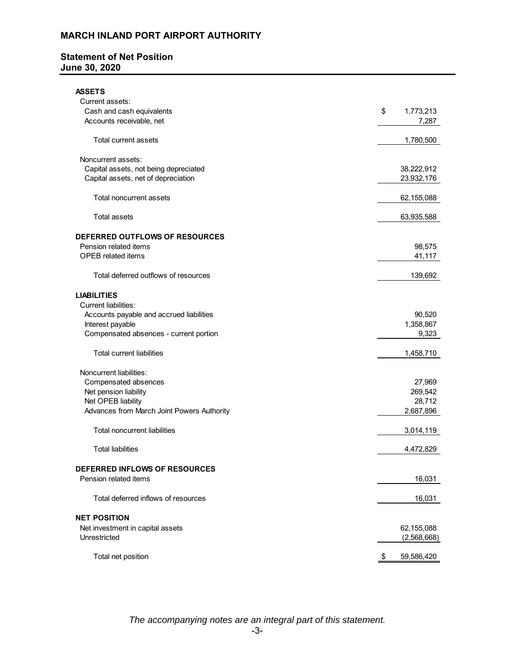## **Statement of Net Position June 30, 2020**

| <b>ASSETS</b>                              |                  |
|--------------------------------------------|------------------|
| Current assets:                            |                  |
| Cash and cash equivalents                  | \$<br>1,773,213  |
| Accounts receivable, net                   | 7,287            |
| Total current assets                       | 1,780,500        |
| Noncurrent assets:                         |                  |
| Capital assets, not being depreciated      | 38,222,912       |
| Capital assets, net of depreciation        | 23,932,176       |
| Total noncurrent assets                    | 62,155,088       |
| <b>Total assets</b>                        | 63,935,588       |
| DEFERRED OUTFLOWS OF RESOURCES             |                  |
| Pension related items                      | 98,575           |
| <b>OPEB</b> related items                  | 41,117           |
| Total deferred outflows of resources       | 139,692          |
| <b>LIABILITIES</b>                         |                  |
| Current liabilities:                       |                  |
| Accounts payable and accrued liabilities   | 90,520           |
| Interest payable                           | 1,358,867        |
| Compensated absences - current portion     | 9,323            |
| <b>Total current liabilities</b>           | 1,458,710        |
| Noncurrent liabilities:                    |                  |
| Compensated absences                       | 27,969           |
| Net pension liability                      | 269,542          |
| Net OPEB liability                         | 28,712           |
| Advances from March Joint Powers Authority | 2,687,896        |
| <b>Total noncurrent liabilities</b>        | 3,014,119        |
| <b>Total liabilities</b>                   | 4,472,829        |
| DEFERRED INFLOWS OF RESOURCES              |                  |
| Pension related items                      | 16,031           |
|                                            |                  |
| Total deferred inflows of resources        | 16,031           |
| <b>NET POSITION</b>                        |                  |
| Net investment in capital assets           | 62,155,088       |
| Unrestricted                               | (2,568,668)      |
| Total net position                         | \$<br>59,586,420 |

 *The accompanying notes are an integral part of this statement.*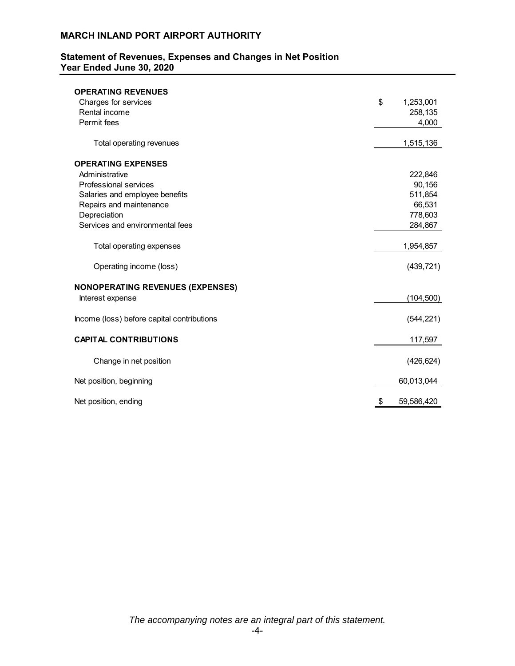#### **Statement of Revenues, Expenses and Changes in Net Position Year Ended June 30, 2020**

| <b>OPERATING REVENUES</b>                  |                  |
|--------------------------------------------|------------------|
| Charges for services                       | \$<br>1,253,001  |
| Rental income                              | 258,135          |
| Permit fees                                | 4,000            |
|                                            |                  |
| Total operating revenues                   | 1,515,136        |
| <b>OPERATING EXPENSES</b>                  |                  |
| Administrative                             | 222,846          |
| Professional services                      | 90,156           |
| Salaries and employee benefits             | 511,854          |
| Repairs and maintenance                    | 66,531           |
| Depreciation                               | 778,603          |
| Services and environmental fees            | 284,867          |
| Total operating expenses                   | 1,954,857        |
| Operating income (loss)                    | (439, 721)       |
| <b>NONOPERATING REVENUES (EXPENSES)</b>    |                  |
| Interest expense                           | (104, 500)       |
| Income (loss) before capital contributions | (544, 221)       |
| <b>CAPITAL CONTRIBUTIONS</b>               | 117,597          |
| Change in net position                     | (426, 624)       |
| Net position, beginning                    | 60,013,044       |
| Net position, ending                       | \$<br>59,586,420 |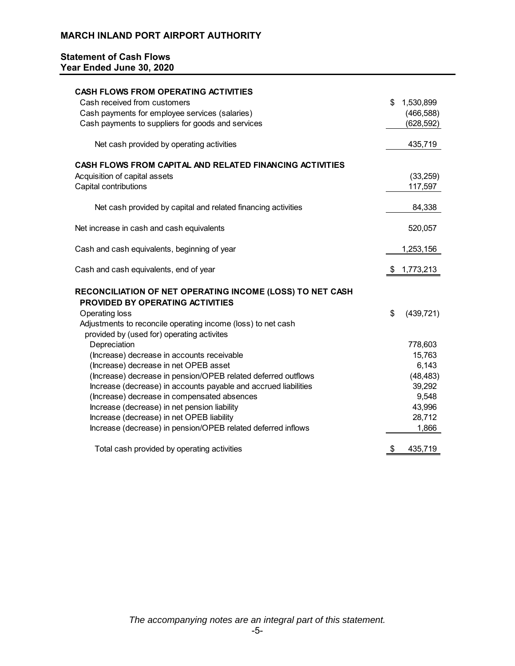## **Statement of Cash Flows Year Ended June 30, 2020**

| <b>CASH FLOWS FROM OPERATING ACTIVITIES</b>                                                          |                  |
|------------------------------------------------------------------------------------------------------|------------------|
| Cash received from customers                                                                         | \$<br>1,530,899  |
| Cash payments for employee services (salaries)                                                       | (466, 588)       |
| Cash payments to suppliers for goods and services                                                    | (628, 592)       |
| Net cash provided by operating activities                                                            | 435,719          |
| CASH FLOWS FROM CAPITAL AND RELATED FINANCING ACTIVITIES                                             |                  |
| Acquisition of capital assets                                                                        | (33,259)         |
| Capital contributions                                                                                | 117,597          |
| Net cash provided by capital and related financing activities                                        | 84,338           |
| Net increase in cash and cash equivalents                                                            | 520,057          |
| Cash and cash equivalents, beginning of year                                                         | 1,253,156        |
| Cash and cash equivalents, end of year                                                               | \$<br>1,773,213  |
| RECONCILIATION OF NET OPERATING INCOME (LOSS) TO NET CASH<br><b>PROVIDED BY OPERATING ACTIVITIES</b> |                  |
| Operating loss                                                                                       | \$<br>(439, 721) |
| Adjustments to reconcile operating income (loss) to net cash                                         |                  |
| provided by (used for) operating activites                                                           |                  |
| Depreciation                                                                                         | 778,603          |
| (Increase) decrease in accounts receivable                                                           | 15,763           |
| (Increase) decrease in net OPEB asset                                                                | 6,143            |
| (Increase) decrease in pension/OPEB related deferred outflows                                        | (48, 483)        |
| Increase (decrease) in accounts payable and accrued liabilities                                      | 39,292           |
| (Increase) decrease in compensated absences                                                          | 9,548            |
| Increase (decrease) in net pension liability                                                         | 43,996           |
| Increase (decrease) in net OPEB liability                                                            | 28,712           |
| Increase (decrease) in pension/OPEB related deferred inflows                                         | 1,866            |
| Total cash provided by operating activities                                                          | \$<br>435,719    |

 *The accompanying notes are an integral part of this statement.*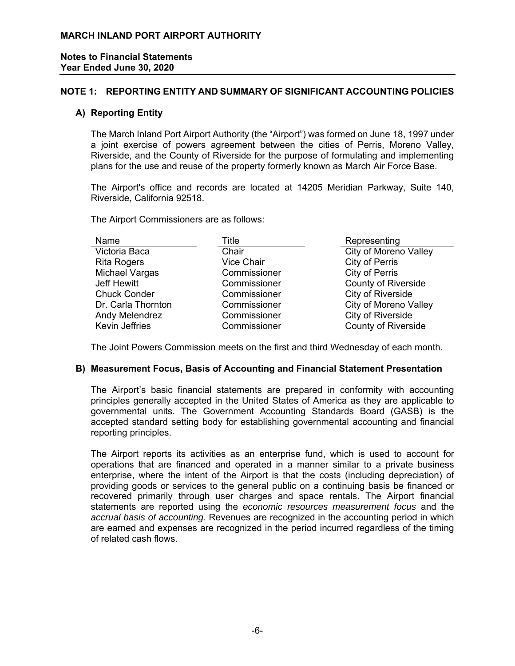#### **A) Reporting Entity**

The March Inland Port Airport Authority (the "Airport") was formed on June 18, 1997 under a joint exercise of powers agreement between the cities of Perris, Moreno Valley, Riverside, and the County of Riverside for the purpose of formulating and implementing plans for the use and reuse of the property formerly known as March Air Force Base.

The Airport's office and records are located at 14205 Meridian Parkway, Suite 140, Riverside, California 92518.

The Airport Commissioners are as follows:

| Name                  | Title             | Representing                 |
|-----------------------|-------------------|------------------------------|
| Victoria Baca         | Chair             | City of Moreno Valley        |
| <b>Rita Rogers</b>    | <b>Vice Chair</b> | City of Perris               |
| Michael Vargas        | Commissioner      | City of Perris               |
| Jeff Hewitt           | Commissioner      | <b>County of Riverside</b>   |
| <b>Chuck Conder</b>   | Commissioner      | City of Riverside            |
| Dr. Carla Thornton    | Commissioner      | <b>City of Moreno Valley</b> |
| Andy Melendrez        | Commissioner      | City of Riverside            |
| <b>Kevin Jeffries</b> | Commissioner      | <b>County of Riverside</b>   |

The Joint Powers Commission meets on the first and third Wednesday of each month.

#### **B) Measurement Focus, Basis of Accounting and Financial Statement Presentation**

The Airport's basic financial statements are prepared in conformity with accounting principles generally accepted in the United States of America as they are applicable to governmental units. The Government Accounting Standards Board (GASB) is the accepted standard setting body for establishing governmental accounting and financial reporting principles.

The Airport reports its activities as an enterprise fund, which is used to account for operations that are financed and operated in a manner similar to a private business enterprise, where the intent of the Airport is that the costs (including depreciation) of providing goods or services to the general public on a continuing basis be financed or recovered primarily through user charges and space rentals. The Airport financial statements are reported using the *economic resources measurement focus* and the *accrual basis of accounting.* Revenues are recognized in the accounting period in which are earned and expenses are recognized in the period incurred regardless of the timing of related cash flows.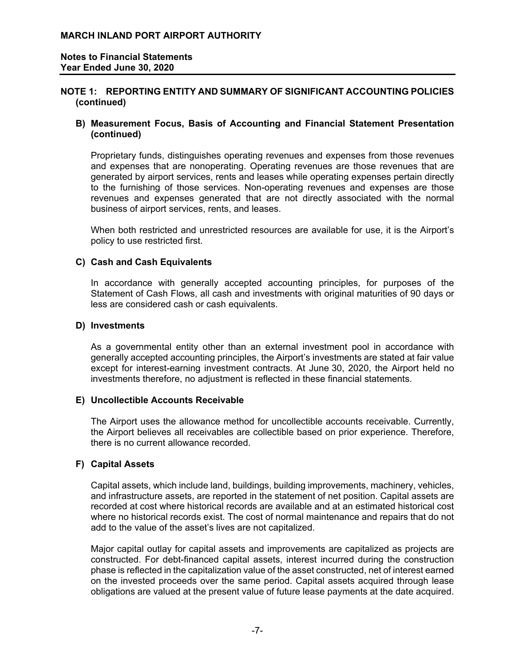### **B) Measurement Focus, Basis of Accounting and Financial Statement Presentation (continued)**

Proprietary funds, distinguishes operating revenues and expenses from those revenues and expenses that are nonoperating. Operating revenues are those revenues that are generated by airport services, rents and leases while operating expenses pertain directly to the furnishing of those services. Non-operating revenues and expenses are those revenues and expenses generated that are not directly associated with the normal business of airport services, rents, and leases.

When both restricted and unrestricted resources are available for use, it is the Airport's policy to use restricted first.

### **C) Cash and Cash Equivalents**

In accordance with generally accepted accounting principles, for purposes of the Statement of Cash Flows, all cash and investments with original maturities of 90 days or less are considered cash or cash equivalents.

### **D) Investments**

As a governmental entity other than an external investment pool in accordance with generally accepted accounting principles, the Airport's investments are stated at fair value except for interest-earning investment contracts. At June 30, 2020, the Airport held no investments therefore, no adjustment is reflected in these financial statements.

#### **E) Uncollectible Accounts Receivable**

The Airport uses the allowance method for uncollectible accounts receivable. Currently, the Airport believes all receivables are collectible based on prior experience. Therefore, there is no current allowance recorded.

## **F) Capital Assets**

Capital assets, which include land, buildings, building improvements, machinery, vehicles, and infrastructure assets, are reported in the statement of net position. Capital assets are recorded at cost where historical records are available and at an estimated historical cost where no historical records exist. The cost of normal maintenance and repairs that do not add to the value of the asset's lives are not capitalized.

Major capital outlay for capital assets and improvements are capitalized as projects are constructed. For debt-financed capital assets, interest incurred during the construction phase is reflected in the capitalization value of the asset constructed, net of interest earned on the invested proceeds over the same period. Capital assets acquired through lease obligations are valued at the present value of future lease payments at the date acquired.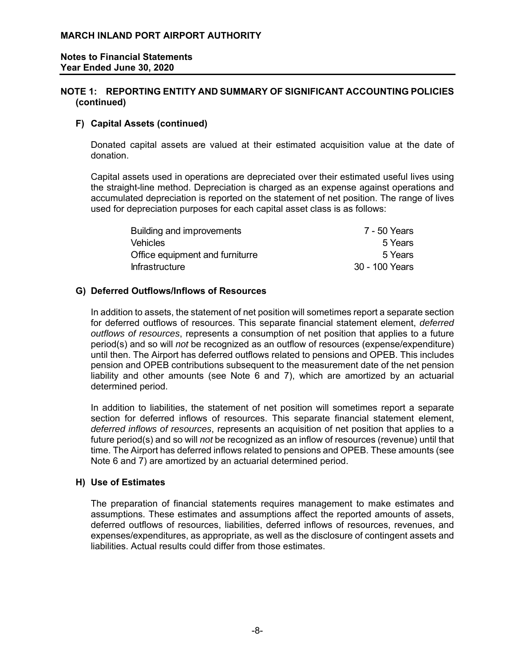## **F) Capital Assets (continued)**

Donated capital assets are valued at their estimated acquisition value at the date of donation.

Capital assets used in operations are depreciated over their estimated useful lives using the straight-line method. Depreciation is charged as an expense against operations and accumulated depreciation is reported on the statement of net position. The range of lives used for depreciation purposes for each capital asset class is as follows:

| Building and improvements       | 7 - 50 Years   |
|---------------------------------|----------------|
| <b>Vehicles</b>                 | 5 Years        |
| Office equipment and furniturre | 5 Years        |
| <b>Infrastructure</b>           | 30 - 100 Years |
|                                 |                |

### **G) Deferred Outflows/Inflows of Resources**

In addition to assets, the statement of net position will sometimes report a separate section for deferred outflows of resources. This separate financial statement element, *deferred outflows of resources*, represents a consumption of net position that applies to a future period(s) and so will *not* be recognized as an outflow of resources (expense/expenditure) until then. The Airport has deferred outflows related to pensions and OPEB. This includes pension and OPEB contributions subsequent to the measurement date of the net pension liability and other amounts (see Note 6 and 7), which are amortized by an actuarial determined period.

In addition to liabilities, the statement of net position will sometimes report a separate section for deferred inflows of resources. This separate financial statement element, *deferred inflows of resources*, represents an acquisition of net position that applies to a future period(s) and so will *not* be recognized as an inflow of resources (revenue) until that time. The Airport has deferred inflows related to pensions and OPEB. These amounts (see Note 6 and 7) are amortized by an actuarial determined period.

#### **H) Use of Estimates**

The preparation of financial statements requires management to make estimates and assumptions. These estimates and assumptions affect the reported amounts of assets, deferred outflows of resources, liabilities, deferred inflows of resources, revenues, and expenses/expenditures, as appropriate, as well as the disclosure of contingent assets and liabilities. Actual results could differ from those estimates.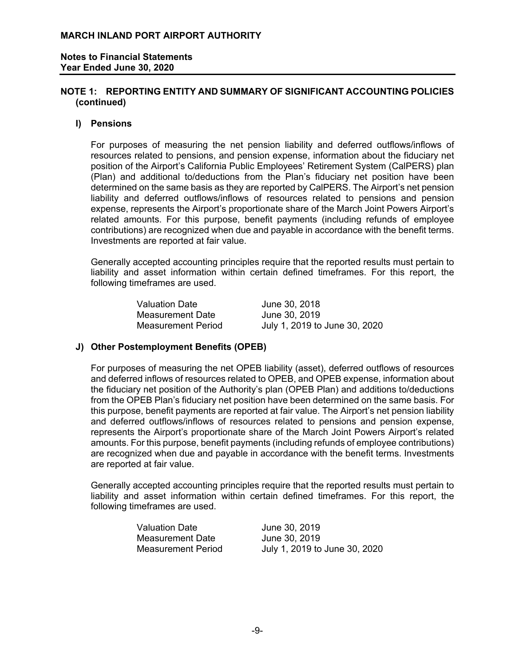### **I) Pensions**

For purposes of measuring the net pension liability and deferred outflows/inflows of resources related to pensions, and pension expense, information about the fiduciary net position of the Airport's California Public Employees' Retirement System (CalPERS) plan (Plan) and additional to/deductions from the Plan's fiduciary net position have been determined on the same basis as they are reported by CalPERS. The Airport's net pension liability and deferred outflows/inflows of resources related to pensions and pension expense, represents the Airport's proportionate share of the March Joint Powers Airport's related amounts. For this purpose, benefit payments (including refunds of employee contributions) are recognized when due and payable in accordance with the benefit terms. Investments are reported at fair value.

Generally accepted accounting principles require that the reported results must pertain to liability and asset information within certain defined timeframes. For this report, the following timeframes are used.

| <b>Valuation Date</b> | June 30, 2018                 |
|-----------------------|-------------------------------|
| Measurement Date      | June 30, 2019                 |
| Measurement Period    | July 1, 2019 to June 30, 2020 |

## **J) Other Postemployment Benefits (OPEB)**

For purposes of measuring the net OPEB liability (asset), deferred outflows of resources and deferred inflows of resources related to OPEB, and OPEB expense, information about the fiduciary net position of the Authority's plan (OPEB Plan) and additions to/deductions from the OPEB Plan's fiduciary net position have been determined on the same basis. For this purpose, benefit payments are reported at fair value. The Airport's net pension liability and deferred outflows/inflows of resources related to pensions and pension expense, represents the Airport's proportionate share of the March Joint Powers Airport's related amounts. For this purpose, benefit payments (including refunds of employee contributions) are recognized when due and payable in accordance with the benefit terms. Investments are reported at fair value.

Generally accepted accounting principles require that the reported results must pertain to liability and asset information within certain defined timeframes. For this report, the following timeframes are used.

| <b>Valuation Date</b> | June 30, 2019                 |
|-----------------------|-------------------------------|
| Measurement Date      | June 30, 2019                 |
| Measurement Period    | July 1, 2019 to June 30, 2020 |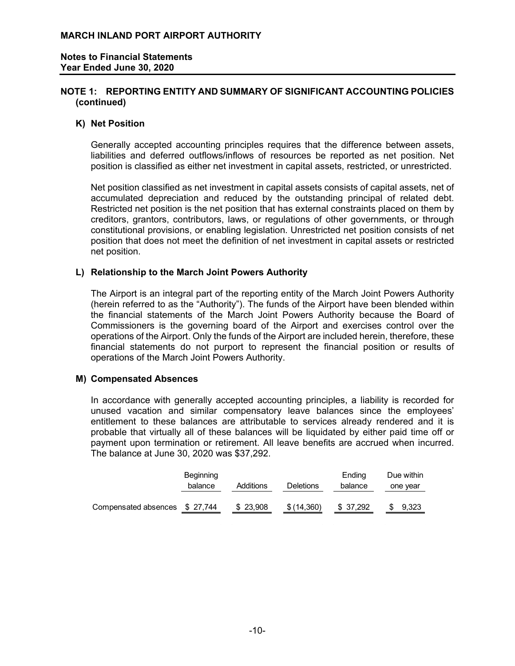#### **K) Net Position**

Generally accepted accounting principles requires that the difference between assets, liabilities and deferred outflows/inflows of resources be reported as net position. Net position is classified as either net investment in capital assets, restricted, or unrestricted.

Net position classified as net investment in capital assets consists of capital assets, net of accumulated depreciation and reduced by the outstanding principal of related debt. Restricted net position is the net position that has external constraints placed on them by creditors, grantors, contributors, laws, or regulations of other governments, or through constitutional provisions, or enabling legislation. Unrestricted net position consists of net position that does not meet the definition of net investment in capital assets or restricted net position.

### **L) Relationship to the March Joint Powers Authority**

The Airport is an integral part of the reporting entity of the March Joint Powers Authority (herein referred to as the "Authority"). The funds of the Airport have been blended within the financial statements of the March Joint Powers Authority because the Board of Commissioners is the governing board of the Airport and exercises control over the operations of the Airport. Only the funds of the Airport are included herein, therefore, these financial statements do not purport to represent the financial position or results of operations of the March Joint Powers Authority.

#### **M) Compensated Absences**

In accordance with generally accepted accounting principles, a liability is recorded for unused vacation and similar compensatory leave balances since the employees' entitlement to these balances are attributable to services already rendered and it is probable that virtually all of these balances will be liquidated by either paid time off or payment upon termination or retirement. All leave benefits are accrued when incurred. The balance at June 30, 2020 was \$37,292.

|                               | Beginning<br>balance | Additions | <b>Deletions</b> | Endina<br>balance | Due within<br>one year |
|-------------------------------|----------------------|-----------|------------------|-------------------|------------------------|
| Compensated absences \$27,744 |                      | \$23,908  | \$(14,360)       | \$37,292          | \$ 9,323               |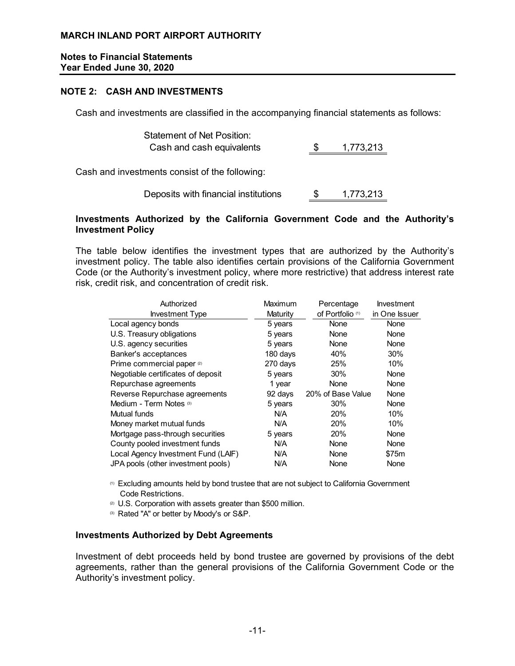#### **Notes to Financial Statements Year Ended June 30, 2020**

#### **NOTE 2: CASH AND INVESTMENTS**

Cash and investments are classified in the accompanying financial statements as follows:

| <b>Statement of Net Position:</b> |           |
|-----------------------------------|-----------|
| Cash and cash equivalents         | 1,773,213 |

Cash and investments consist of the following:

Deposits with financial institutions  $\qquad$  \$ 1,773,213

#### **Investments Authorized by the California Government Code and the Authority's Investment Policy**

The table below identifies the investment types that are authorized by the Authority's investment policy. The table also identifies certain provisions of the California Government Code (or the Authority's investment policy, where more restrictive) that address interest rate risk, credit risk, and concentration of credit risk.

| Authorized                            | Maximum  | Percentage                  | Investment    |  |
|---------------------------------------|----------|-----------------------------|---------------|--|
| <b>Investment Type</b>                | Maturity | of Portfolio <sup>(1)</sup> | in One Issuer |  |
| Local agency bonds                    | 5 years  | None                        | None          |  |
| U.S. Treasury obligations             | 5 years  | None                        | None          |  |
| U.S. agency securities                | 5 years  | None                        | None          |  |
| Banker's acceptances                  | 180 days | 40%                         | 30%           |  |
| Prime commercial paper <sup>(2)</sup> | 270 days | 25%                         | 10%           |  |
| Negotiable certificates of deposit    | 5 years  | 30%                         | None          |  |
| Repurchase agreements                 | 1 year   | None                        | None          |  |
| Reverse Repurchase agreements         | 92 days  | 20% of Base Value           | None          |  |
| Medium - Term Notes (3)               | 5 years  | 30%                         | None          |  |
| Mutual funds                          | N/A      | 20%                         | 10%           |  |
| Money market mutual funds             | N/A      | 20%                         | 10%           |  |
| Mortgage pass-through securities      | 5 years  | 20%                         | None          |  |
| County pooled investment funds        | N/A      | None                        | None          |  |
| Local Agency Investment Fund (LAIF)   | N/A      | None                        | \$75m         |  |
| JPA pools (other investment pools)    | N/A      | None                        | None          |  |

(1) Excluding amounts held by bond trustee that are not subject to California Government Code Restrictions.

 $(2)$  U.S. Corporation with assets greater than \$500 million.

(3) Rated "A" or better by Moody's or S&P.

#### **Investments Authorized by Debt Agreements**

Investment of debt proceeds held by bond trustee are governed by provisions of the debt agreements, rather than the general provisions of the California Government Code or the Authority's investment policy.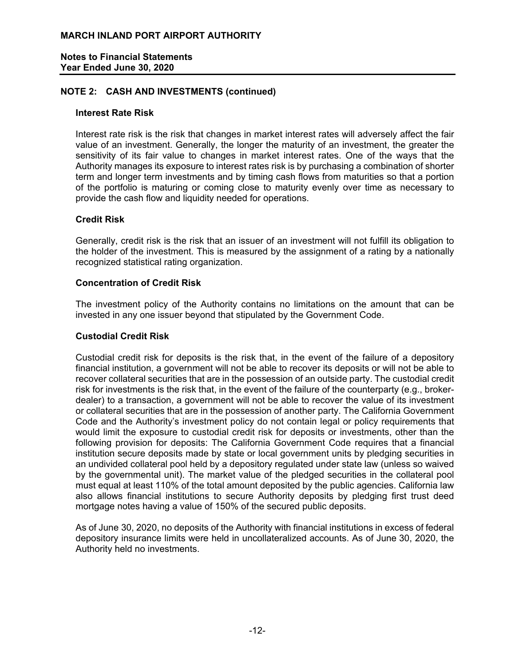## **NOTE 2: CASH AND INVESTMENTS (continued)**

#### **Interest Rate Risk**

Interest rate risk is the risk that changes in market interest rates will adversely affect the fair value of an investment. Generally, the longer the maturity of an investment, the greater the sensitivity of its fair value to changes in market interest rates. One of the ways that the Authority manages its exposure to interest rates risk is by purchasing a combination of shorter term and longer term investments and by timing cash flows from maturities so that a portion of the portfolio is maturing or coming close to maturity evenly over time as necessary to provide the cash flow and liquidity needed for operations.

## **Credit Risk**

Generally, credit risk is the risk that an issuer of an investment will not fulfill its obligation to the holder of the investment. This is measured by the assignment of a rating by a nationally recognized statistical rating organization.

### **Concentration of Credit Risk**

The investment policy of the Authority contains no limitations on the amount that can be invested in any one issuer beyond that stipulated by the Government Code.

## **Custodial Credit Risk**

Custodial credit risk for deposits is the risk that, in the event of the failure of a depository financial institution, a government will not be able to recover its deposits or will not be able to recover collateral securities that are in the possession of an outside party. The custodial credit risk for investments is the risk that, in the event of the failure of the counterparty (e.g., brokerdealer) to a transaction, a government will not be able to recover the value of its investment or collateral securities that are in the possession of another party. The California Government Code and the Authority's investment policy do not contain legal or policy requirements that would limit the exposure to custodial credit risk for deposits or investments, other than the following provision for deposits: The California Government Code requires that a financial institution secure deposits made by state or local government units by pledging securities in an undivided collateral pool held by a depository regulated under state law (unless so waived by the governmental unit). The market value of the pledged securities in the collateral pool must equal at least 110% of the total amount deposited by the public agencies. California law also allows financial institutions to secure Authority deposits by pledging first trust deed mortgage notes having a value of 150% of the secured public deposits.

As of June 30, 2020, no deposits of the Authority with financial institutions in excess of federal depository insurance limits were held in uncollateralized accounts. As of June 30, 2020, the Authority held no investments.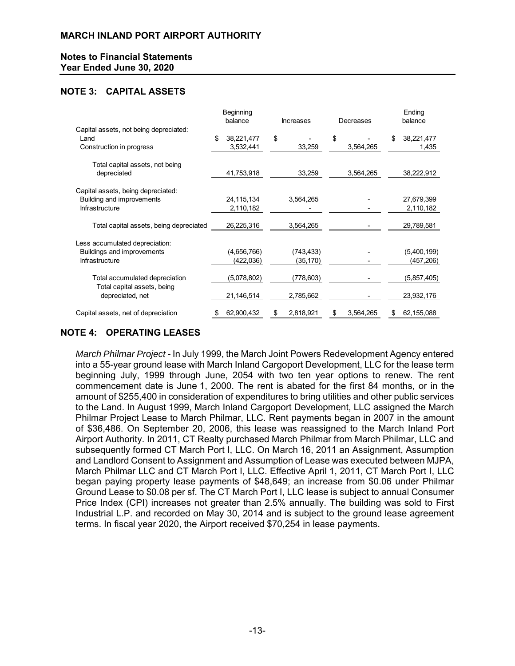### **Notes to Financial Statements Year Ended June 30, 2020**

## **NOTE 3: CAPITAL ASSETS**

|                                                                        | Beginning        |                  |                 |    | Ending      |
|------------------------------------------------------------------------|------------------|------------------|-----------------|----|-------------|
|                                                                        | balance          | <b>Increases</b> | Decreases       |    | balance     |
| Capital assets, not being depreciated:                                 |                  |                  |                 |    |             |
| Land                                                                   | \$<br>38,221,477 | \$               | \$              | S  | 38,221,477  |
| Construction in progress                                               | 3,532,441        | 33,259           | 3,564,265       |    | 1,435       |
| Total capital assets, not being                                        |                  |                  |                 |    |             |
| depreciated                                                            | 41,753,918       | 33,259           | 3,564,265       |    | 38,222,912  |
|                                                                        |                  |                  |                 |    |             |
| Capital assets, being depreciated:<br><b>Building and improvements</b> | 24,115,134       | 3,564,265        |                 |    | 27,679,399  |
| Infrastructure                                                         | 2,110,182        |                  |                 |    | 2,110,182   |
| Total capital assets, being depreciated                                | 26,225,316       | 3,564,265        |                 |    | 29,789,581  |
| Less accumulated depreciation:                                         |                  |                  |                 |    |             |
| Buildings and improvements                                             | (4,656,766)      | (743, 433)       |                 |    | (5,400,199) |
| Infrastructure                                                         | (422,036)        | (35,170)         |                 |    | (457,206)   |
| Total accumulated depreciation                                         | (5,078,802)      | (778,603)        |                 |    | (5,857,405) |
| Total capital assets, being                                            |                  |                  |                 |    |             |
| depreciated, net                                                       | 21,146,514       | 2,785,662        |                 |    | 23,932,176  |
| Capital assets, net of depreciation                                    | \$<br>62,900,432 | \$<br>2,818,921  | \$<br>3,564,265 | \$ | 62,155,088  |

# **NOTE 4: OPERATING LEASES**

*March Philmar Project* - In July 1999, the March Joint Powers Redevelopment Agency entered into a 55-year ground lease with March Inland Cargoport Development, LLC for the lease term beginning July, 1999 through June, 2054 with two ten year options to renew. The rent commencement date is June 1, 2000. The rent is abated for the first 84 months, or in the amount of \$255,400 in consideration of expenditures to bring utilities and other public services to the Land. In August 1999, March Inland Cargoport Development, LLC assigned the March Philmar Project Lease to March Philmar, LLC. Rent payments began in 2007 in the amount of \$36,486. On September 20, 2006, this lease was reassigned to the March Inland Port Airport Authority. In 2011, CT Realty purchased March Philmar from March Philmar, LLC and subsequently formed CT March Port I, LLC. On March 16, 2011 an Assignment, Assumption and Landlord Consent to Assignment and Assumption of Lease was executed between MJPA, March Philmar LLC and CT March Port I, LLC. Effective April 1, 2011, CT March Port I, LLC began paying property lease payments of \$48,649; an increase from \$0.06 under Philmar Ground Lease to \$0.08 per sf. The CT March Port I, LLC lease is subject to annual Consumer Price Index (CPI) increases not greater than 2.5% annually. The building was sold to First Industrial L.P. and recorded on May 30, 2014 and is subject to the ground lease agreement terms. In fiscal year 2020, the Airport received \$70,254 in lease payments.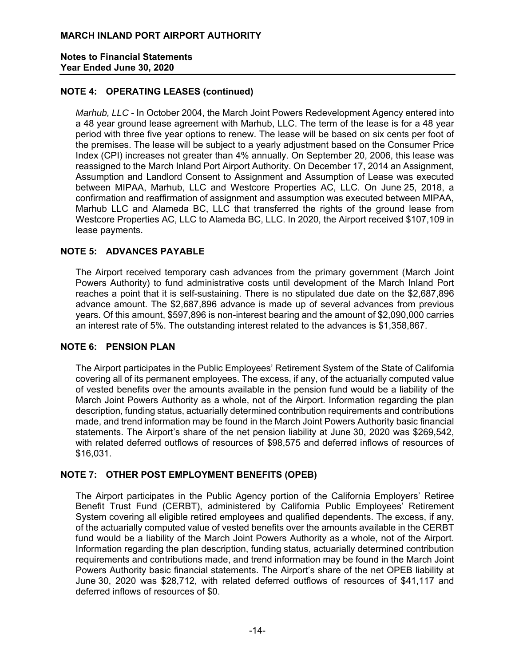**Notes to Financial Statements Year Ended June 30, 2020** 

### **NOTE 4: OPERATING LEASES (continued)**

*Marhub, LLC* - In October 2004, the March Joint Powers Redevelopment Agency entered into a 48 year ground lease agreement with Marhub, LLC. The term of the lease is for a 48 year period with three five year options to renew. The lease will be based on six cents per foot of the premises. The lease will be subject to a yearly adjustment based on the Consumer Price Index (CPI) increases not greater than 4% annually. On September 20, 2006, this lease was reassigned to the March Inland Port Airport Authority. On December 17, 2014 an Assignment, Assumption and Landlord Consent to Assignment and Assumption of Lease was executed between MIPAA, Marhub, LLC and Westcore Properties AC, LLC. On June 25, 2018, a confirmation and reaffirmation of assignment and assumption was executed between MIPAA, Marhub LLC and Alameda BC, LLC that transferred the rights of the ground lease from Westcore Properties AC, LLC to Alameda BC, LLC. In 2020, the Airport received \$107,109 in lease payments.

## **NOTE 5: ADVANCES PAYABLE**

The Airport received temporary cash advances from the primary government (March Joint Powers Authority) to fund administrative costs until development of the March Inland Port reaches a point that it is self-sustaining. There is no stipulated due date on the \$2,687,896 advance amount. The \$2,687,896 advance is made up of several advances from previous years. Of this amount, \$597,896 is non-interest bearing and the amount of \$2,090,000 carries an interest rate of 5%. The outstanding interest related to the advances is \$1,358,867.

## **NOTE 6: PENSION PLAN**

The Airport participates in the Public Employees' Retirement System of the State of California covering all of its permanent employees. The excess, if any, of the actuarially computed value of vested benefits over the amounts available in the pension fund would be a liability of the March Joint Powers Authority as a whole, not of the Airport. Information regarding the plan description, funding status, actuarially determined contribution requirements and contributions made, and trend information may be found in the March Joint Powers Authority basic financial statements. The Airport's share of the net pension liability at June 30, 2020 was \$269,542, with related deferred outflows of resources of \$98,575 and deferred inflows of resources of \$16,031.

## **NOTE 7: OTHER POST EMPLOYMENT BENEFITS (OPEB)**

The Airport participates in the Public Agency portion of the California Employers' Retiree Benefit Trust Fund (CERBT), administered by California Public Employees' Retirement System covering all eligible retired employees and qualified dependents. The excess, if any, of the actuarially computed value of vested benefits over the amounts available in the CERBT fund would be a liability of the March Joint Powers Authority as a whole, not of the Airport. Information regarding the plan description, funding status, actuarially determined contribution requirements and contributions made, and trend information may be found in the March Joint Powers Authority basic financial statements. The Airport's share of the net OPEB liability at June 30, 2020 was \$28,712, with related deferred outflows of resources of \$41,117 and deferred inflows of resources of \$0.